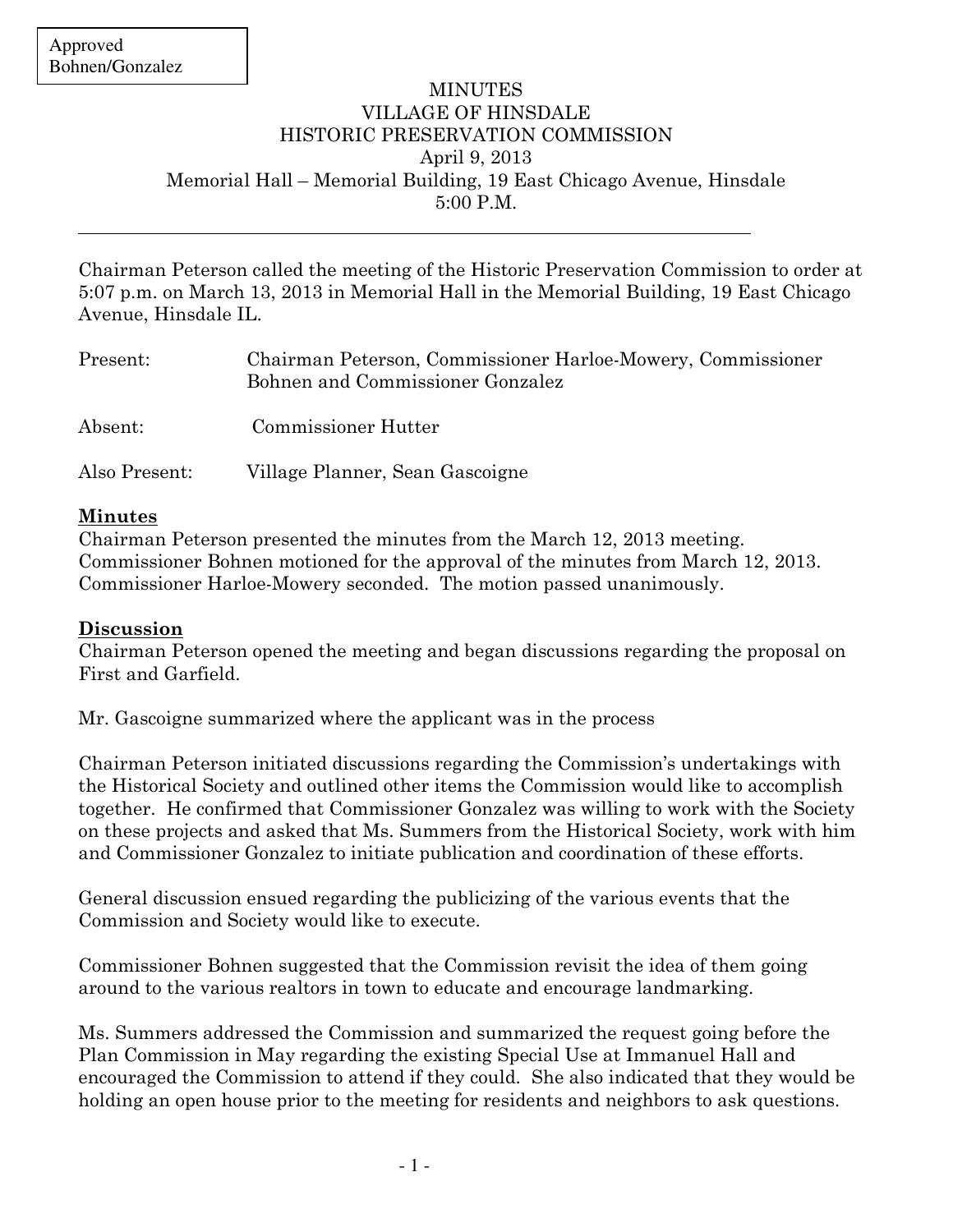$\overline{a}$ 

## MINUTES VILLAGE OF HINSDALE HISTORIC PRESERVATION COMMISSION April 9, 2013 Memorial Hall – Memorial Building, 19 East Chicago Avenue, Hinsdale 5:00 P.M.

Chairman Peterson called the meeting of the Historic Preservation Commission to order at 5:07 p.m. on March 13, 2013 in Memorial Hall in the Memorial Building, 19 East Chicago Avenue, Hinsdale IL.

| Present:      | Chairman Peterson, Commissioner Harloe-Mowery, Commissioner<br>Bohnen and Commissioner Gonzalez |
|---------------|-------------------------------------------------------------------------------------------------|
| Absent:       | Commissioner Hutter                                                                             |
| Also Present: | Village Planner, Sean Gascoigne                                                                 |

## Minutes

Chairman Peterson presented the minutes from the March 12, 2013 meeting. Commissioner Bohnen motioned for the approval of the minutes from March 12, 2013. Commissioner Harloe-Mowery seconded. The motion passed unanimously.

## Discussion

Chairman Peterson opened the meeting and began discussions regarding the proposal on First and Garfield.

Mr. Gascoigne summarized where the applicant was in the process

Chairman Peterson initiated discussions regarding the Commission's undertakings with the Historical Society and outlined other items the Commission would like to accomplish together. He confirmed that Commissioner Gonzalez was willing to work with the Society on these projects and asked that Ms. Summers from the Historical Society, work with him and Commissioner Gonzalez to initiate publication and coordination of these efforts.

General discussion ensued regarding the publicizing of the various events that the Commission and Society would like to execute.

Commissioner Bohnen suggested that the Commission revisit the idea of them going around to the various realtors in town to educate and encourage landmarking.

Ms. Summers addressed the Commission and summarized the request going before the Plan Commission in May regarding the existing Special Use at Immanuel Hall and encouraged the Commission to attend if they could. She also indicated that they would be holding an open house prior to the meeting for residents and neighbors to ask questions.